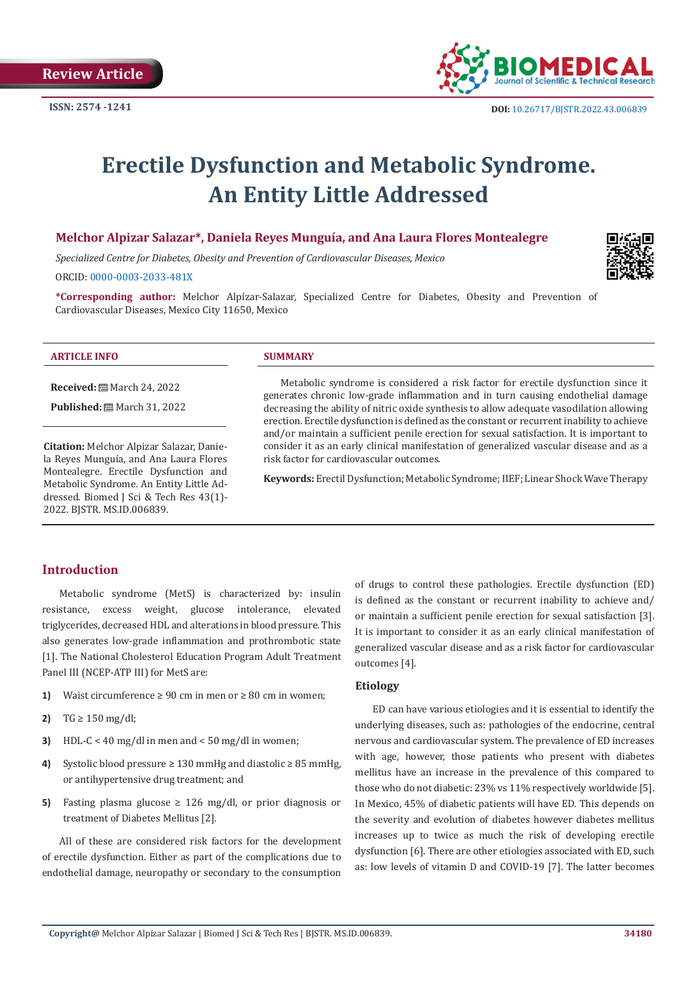

# **Erectile Dysfunction and Metabolic Syndrome. An Entity Little Addressed**

# **Melchor Alpizar Salazar\*, Daniela Reyes Munguía, and Ana Laura Flores Montealegre**

*Specialized Centre for Diabetes, Obesity and Prevention of Cardiovascular Diseases, Mexico* 

ORCID: [0000-0003-2033-481X](https://orcid.org/0000-0003-2033-481X)

**\*Corresponding author:** Melchor Alpízar-Salazar, Specialized Centre for Diabetes, Obesity and Prevention of Cardiovascular Diseases, Mexico City 11650, Mexico

#### **ARTICLE INFO SUMMARY**

**Received:** ■ March 24, 2022

**Published:** ■ March 31, 2022

**Citation:** Melchor Alpizar Salazar, Daniela Reyes Munguía, and Ana Laura Flores Montealegre. Erectile Dysfunction and Metabolic Syndrome. An Entity Little Addressed. Biomed J Sci & Tech Res 43(1)- 2022. BJSTR. MS.ID.006839.

Metabolic syndrome is considered a risk factor for erectile dysfunction since it generates chronic low-grade inflammation and in turn causing endothelial damage decreasing the ability of nitric oxide synthesis to allow adequate vasodilation allowing erection. Erectile dysfunction is defined as the constant or recurrent inability to achieve and/or maintain a sufficient penile erection for sexual satisfaction. It is important to consider it as an early clinical manifestation of generalized vascular disease and as a risk factor for cardiovascular outcomes.

**Keywords:** Erectil Dysfunction; Metabolic Syndrome; IIEF; Linear Shock Wave Therapy

# **Introduction**

Metabolic syndrome (MetS) is characterized by: insulin resistance, excess weight, glucose intolerance, elevated triglycerides, decreased HDL and alterations in blood pressure. This also generates low-grade inflammation and prothrombotic state [1]. The National Cholesterol Education Program Adult Treatment Panel III (NCEP-ATP III) for MetS are:

- **1)** Waist circumference  $\geq 90$  cm in men or  $\geq 80$  cm in women;
- **2)** TG ≥ 150 mg/dl;
- **3)** HDL-C < 40 mg/dl in men and < 50 mg/dl in women;
- **4)** Systolic blood pressure ≥ 130 mmHg and diastolic ≥ 85 mmHg, or antihypertensive drug treatment; and
- **5)** Fasting plasma glucose  $\geq$  126 mg/dl, or prior diagnosis or treatment of Diabetes Mellitus [2].

All of these are considered risk factors for the development of erectile dysfunction. Either as part of the complications due to endothelial damage, neuropathy or secondary to the consumption

of drugs to control these pathologies. Erectile dysfunction (ED) is defined as the constant or recurrent inability to achieve and/ or maintain a sufficient penile erection for sexual satisfaction [3]. It is important to consider it as an early clinical manifestation of generalized vascular disease and as a risk factor for cardiovascular outcomes [4].

# **Etiology**

ED can have various etiologies and it is essential to identify the underlying diseases, such as: pathologies of the endocrine, central nervous and cardiovascular system. The prevalence of ED increases with age, however, those patients who present with diabetes mellitus have an increase in the prevalence of this compared to those who do not diabetic: 23% vs 11% respectively worldwide [5]. In Mexico, 45% of diabetic patients will have ED. This depends on the severity and evolution of diabetes however diabetes mellitus increases up to twice as much the risk of developing erectile dysfunction [6]. There are other etiologies associated with ED, such as: low levels of vitamin D and COVID-19 [7]. The latter becomes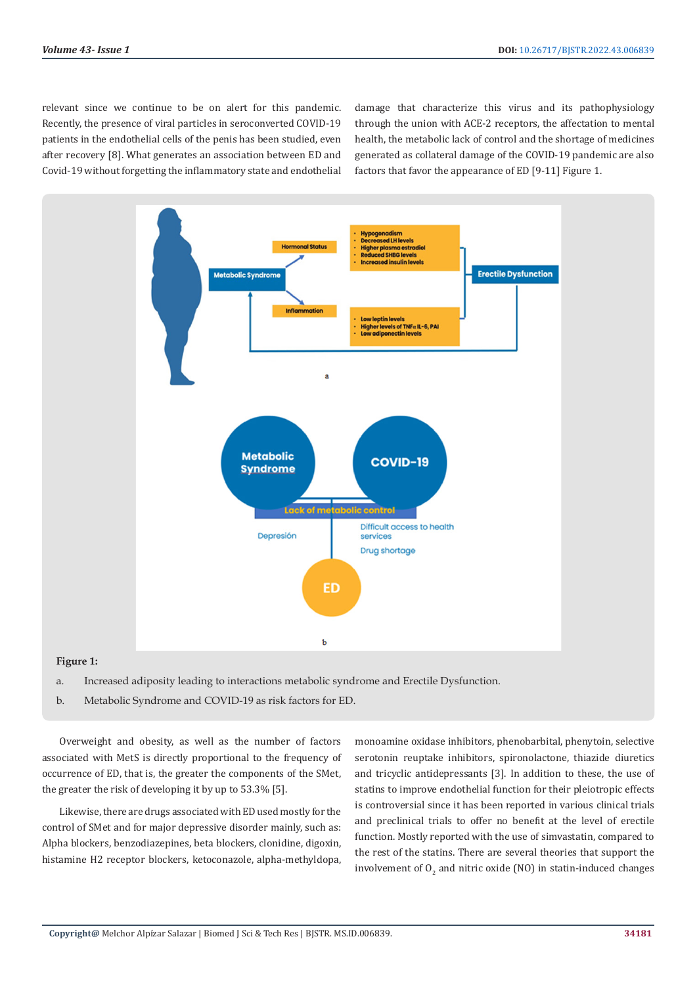relevant since we continue to be on alert for this pandemic. Recently, the presence of viral particles in seroconverted COVID-19 patients in the endothelial cells of the penis has been studied, even after recovery [8]. What generates an association between ED and Covid-19 without forgetting the inflammatory state and endothelial damage that characterize this virus and its pathophysiology through the union with ACE-2 receptors, the affectation to mental health, the metabolic lack of control and the shortage of medicines generated as collateral damage of the COVID-19 pandemic are also factors that favor the appearance of ED [9-11] Figure 1.



#### **Figure 1:**

- a. Increased adiposity leading to interactions metabolic syndrome and Erectile Dysfunction.
- b. Metabolic Syndrome and COVID-19 as risk factors for ED.

Overweight and obesity, as well as the number of factors associated with MetS is directly proportional to the frequency of occurrence of ED, that is, the greater the components of the SMet, the greater the risk of developing it by up to 53.3% [5].

Likewise, there are drugs associated with ED used mostly for the control of SMet and for major depressive disorder mainly, such as: Alpha blockers, benzodiazepines, beta blockers, clonidine, digoxin, histamine H2 receptor blockers, ketoconazole, alpha-methyldopa,

monoamine oxidase inhibitors, phenobarbital, phenytoin, selective serotonin reuptake inhibitors, spironolactone, thiazide diuretics and tricyclic antidepressants [3]. In addition to these, the use of statins to improve endothelial function for their pleiotropic effects is controversial since it has been reported in various clinical trials and preclinical trials to offer no benefit at the level of erectile function. Mostly reported with the use of simvastatin, compared to the rest of the statins. There are several theories that support the involvement of  $O_2$  and nitric oxide (NO) in statin-induced changes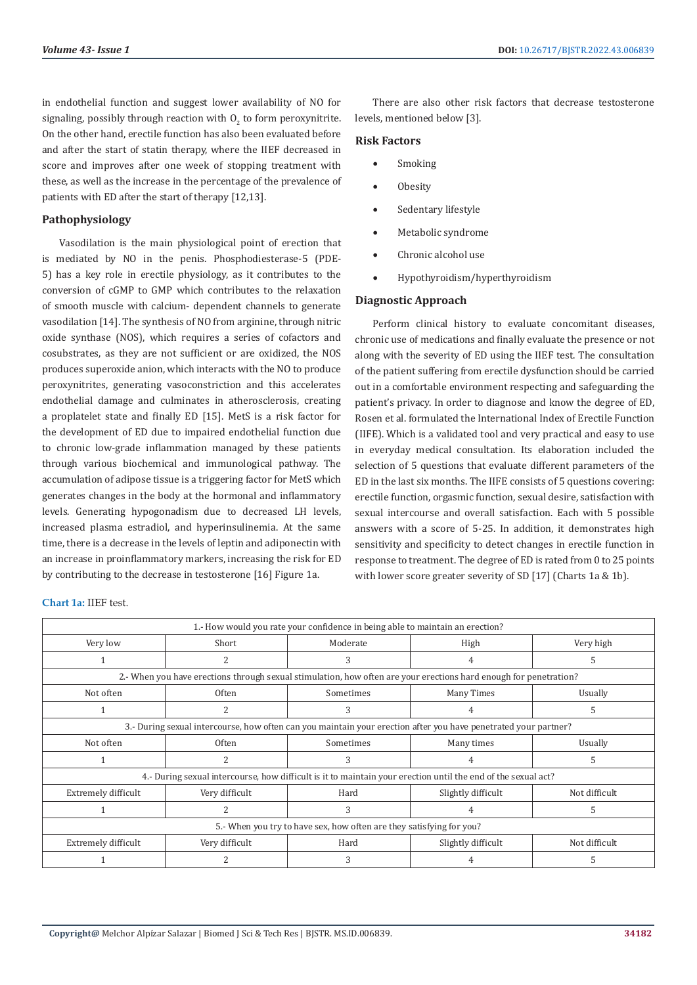in endothelial function and suggest lower availability of NO for signaling, possibly through reaction with  $O_2$  to form peroxynitrite. On the other hand, erectile function has also been evaluated before and after the start of statin therapy, where the IIEF decreased in score and improves after one week of stopping treatment with these, as well as the increase in the percentage of the prevalence of patients with ED after the start of therapy [12,13].

## **Pathophysiology**

Vasodilation is the main physiological point of erection that is mediated by NO in the penis. Phosphodiesterase-5 (PDE-5) has a key role in erectile physiology, as it contributes to the conversion of cGMP to GMP which contributes to the relaxation of smooth muscle with calcium- dependent channels to generate vasodilation [14]. The synthesis of NO from arginine, through nitric oxide synthase (NOS), which requires a series of cofactors and cosubstrates, as they are not sufficient or are oxidized, the NOS produces superoxide anion, which interacts with the NO to produce peroxynitrites, generating vasoconstriction and this accelerates endothelial damage and culminates in atherosclerosis, creating a proplatelet state and finally ED [15]. MetS is a risk factor for the development of ED due to impaired endothelial function due to chronic low-grade inflammation managed by these patients through various biochemical and immunological pathway. The accumulation of adipose tissue is a triggering factor for MetS which generates changes in the body at the hormonal and inflammatory levels. Generating hypogonadism due to decreased LH levels, increased plasma estradiol, and hyperinsulinemia. At the same time, there is a decrease in the levels of leptin and adiponectin with an increase in proinflammatory markers, increasing the risk for ED by contributing to the decrease in testosterone [16] Figure 1a.

There are also other risk factors that decrease testosterone levels, mentioned below [3].

#### **Risk Factors**

- **Smoking**
- **Obesity**
- Sedentary lifestyle
- Metabolic syndrome
- Chronic alcohol use
- • Hypothyroidism/hyperthyroidism

#### **Diagnostic Approach**

Perform clinical history to evaluate concomitant diseases, chronic use of medications and finally evaluate the presence or not along with the severity of ED using the IIEF test. The consultation of the patient suffering from erectile dysfunction should be carried out in a comfortable environment respecting and safeguarding the patient's privacy. In order to diagnose and know the degree of ED, Rosen et al. formulated the International Index of Erectile Function (IIFE). Which is a validated tool and very practical and easy to use in everyday medical consultation. Its elaboration included the selection of 5 questions that evaluate different parameters of the ED in the last six months. The IIFE consists of 5 questions covering: erectile function, orgasmic function, sexual desire, satisfaction with sexual intercourse and overall satisfaction. Each with 5 possible answers with a score of 5-25. In addition, it demonstrates high sensitivity and specificity to detect changes in erectile function in response to treatment. The degree of ED is rated from 0 to 25 points with lower score greater severity of SD [17] (Charts 1a & 1b).

| 1.- How would you rate your confidence in being able to maintain an erection?                                   |                                                                                                                   |           |                    |               |  |  |
|-----------------------------------------------------------------------------------------------------------------|-------------------------------------------------------------------------------------------------------------------|-----------|--------------------|---------------|--|--|
| Very low                                                                                                        | Short                                                                                                             | Moderate  | High               | Very high     |  |  |
|                                                                                                                 | 2                                                                                                                 | 3         | 4                  | 5             |  |  |
|                                                                                                                 | 2.- When you have erections through sexual stimulation, how often are your erections hard enough for penetration? |           |                    |               |  |  |
| Not often                                                                                                       | <b>Often</b>                                                                                                      | Sometimes | Many Times         | Usually       |  |  |
|                                                                                                                 | 2                                                                                                                 | 3         | 4                  | 5             |  |  |
| 3.- During sexual intercourse, how often can you maintain your erection after you have penetrated your partner? |                                                                                                                   |           |                    |               |  |  |
| Not often                                                                                                       | <b>Often</b>                                                                                                      | Sometimes | Many times         | Usually       |  |  |
|                                                                                                                 | 2                                                                                                                 | 3         | 4                  | 5             |  |  |
| 4.- During sexual intercourse, how difficult is it to maintain your erection until the end of the sexual act?   |                                                                                                                   |           |                    |               |  |  |
| Extremely difficult                                                                                             | Very difficult                                                                                                    | Hard      | Slightly difficult | Not difficult |  |  |
|                                                                                                                 | 2                                                                                                                 | 3         | 4                  | 5             |  |  |
| 5.- When you try to have sex, how often are they satisfying for you?                                            |                                                                                                                   |           |                    |               |  |  |
| Extremely difficult                                                                                             | Very difficult                                                                                                    | Hard      | Slightly difficult | Not difficult |  |  |
|                                                                                                                 |                                                                                                                   | 3         |                    |               |  |  |

# **Chart 1a:** IIEF test.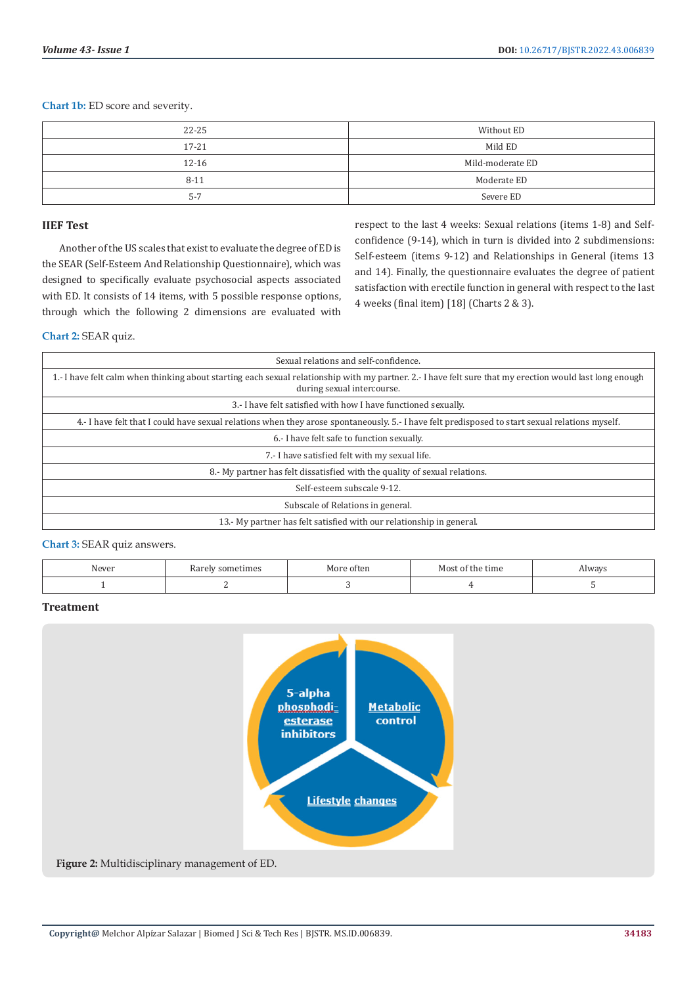**Chart 1b:** ED score and severity.

| $22 - 25$ | Without ED       |
|-----------|------------------|
| $17 - 21$ | Mild ED          |
| $12 - 16$ | Mild-moderate ED |
| $8 - 11$  | Moderate ED      |
| $5 - 7$   | Severe ED        |

# **IIEF Test**

Another of the US scales that exist to evaluate the degree of ED is the SEAR (Self-Esteem And Relationship Questionnaire), which was designed to specifically evaluate psychosocial aspects associated with ED. It consists of 14 items, with 5 possible response options, through which the following 2 dimensions are evaluated with

respect to the last 4 weeks: Sexual relations (items 1-8) and Selfconfidence (9-14), which in turn is divided into 2 subdimensions: Self-esteem (items 9-12) and Relationships in General (items 13 and 14). Finally, the questionnaire evaluates the degree of patient satisfaction with erectile function in general with respect to the last 4 weeks (final item) [18] (Charts 2 & 3).

# **Chart 2:** SEAR quiz.

| Sexual relations and self-confidence.                                                                                                                                                  |
|----------------------------------------------------------------------------------------------------------------------------------------------------------------------------------------|
| 1.- I have felt calm when thinking about starting each sexual relationship with my partner. 2.- I have felt sure that my erection would last long enough<br>during sexual intercourse. |
| 3.- I have felt satisfied with how I have functioned sexually.                                                                                                                         |
| 4.- I have felt that I could have sexual relations when they arose spontaneously. 5.- I have felt predisposed to start sexual relations myself.                                        |
| 6.- I have felt safe to function sexually.                                                                                                                                             |
| 7.- I have satisfied felt with my sexual life.                                                                                                                                         |
| 8.- My partner has felt dissatisfied with the quality of sexual relations.                                                                                                             |
| Self-esteem subscale 9-12.                                                                                                                                                             |
| Subscale of Relations in general.                                                                                                                                                      |
| 13.- My partner has felt satisfied with our relationship in general.                                                                                                                   |

**Chart 3:** SEAR quiz answers.

| ATI | ' sometimes<br>ndi Ul' | often | tıme<br>MOS.<br><b>LHE</b> | $x \wedge \neg x \wedge \neg x$ |
|-----|------------------------|-------|----------------------------|---------------------------------|
|     |                        |       |                            |                                 |

# **Treatment**

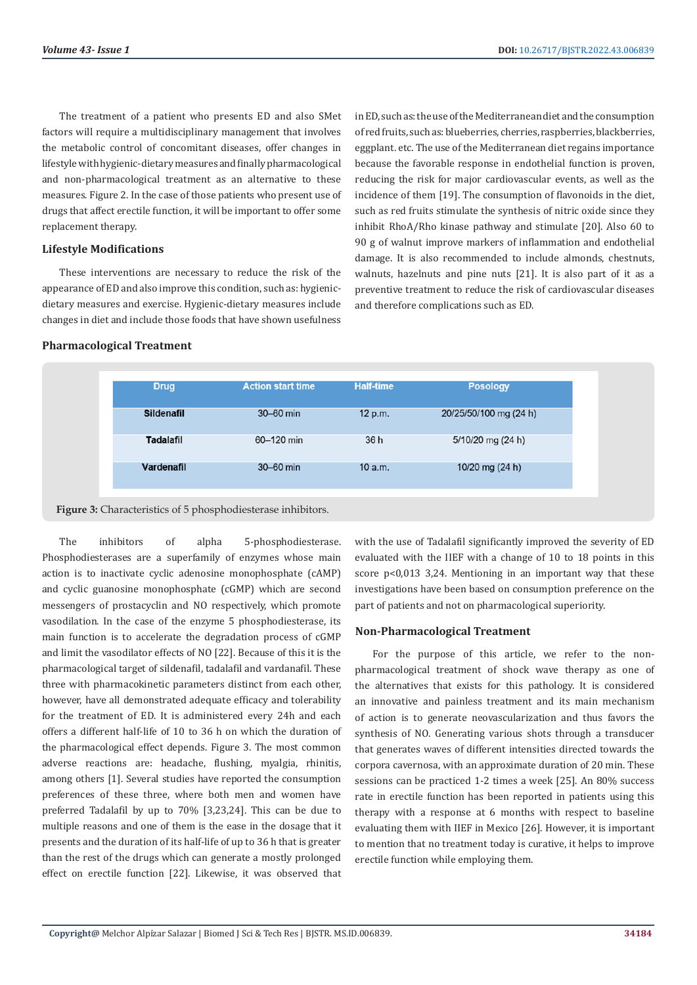The treatment of a patient who presents ED and also SMet factors will require a multidisciplinary management that involves the metabolic control of concomitant diseases, offer changes in lifestyle with hygienic-dietary measures and finally pharmacological and non-pharmacological treatment as an alternative to these measures. Figure 2. In the case of those patients who present use of drugs that affect erectile function, it will be important to offer some replacement therapy.

# **Lifestyle Modifications**

These interventions are necessary to reduce the risk of the appearance of ED and also improve this condition, such as: hygienicdietary measures and exercise. Hygienic-dietary measures include changes in diet and include those foods that have shown usefulness

in ED, such as: the use of the Mediterranean diet and the consumption of red fruits, such as: blueberries, cherries, raspberries, blackberries, eggplant. etc. The use of the Mediterranean diet regains importance because the favorable response in endothelial function is proven, reducing the risk for major cardiovascular events, as well as the incidence of them [19]. The consumption of flavonoids in the diet, such as red fruits stimulate the synthesis of nitric oxide since they inhibit RhoA/Rho kinase pathway and stimulate [20]. Also 60 to 90 g of walnut improve markers of inflammation and endothelial damage. It is also recommended to include almonds, chestnuts, walnuts, hazelnuts and pine nuts [21]. It is also part of it as a preventive treatment to reduce the risk of cardiovascular diseases and therefore complications such as ED.

## **Pharmacological Treatment**

| <b>Drug</b>       | <b>Action start time</b> | <b>Half-time</b> | <b>Posology</b>        |
|-------------------|--------------------------|------------------|------------------------|
| <b>Sildenafil</b> | 30-60 min                | 12 p.m.          | 20/25/50/100 mg (24 h) |
| <b>Tadalafil</b>  | 60-120 min               | 36 h             | 5/10/20 mg (24 h)      |
| Vardenafil        | 30-60 min                | 10 a.m.          | 10/20 mg $(24 h)$      |
|                   |                          |                  |                        |

**Figure 3:** Characteristics of 5 phosphodiesterase inhibitors.

The inhibitors of alpha 5-phosphodiesterase. Phosphodiesterases are a superfamily of enzymes whose main action is to inactivate cyclic adenosine monophosphate (cAMP) and cyclic guanosine monophosphate (cGMP) which are second messengers of prostacyclin and NO respectively, which promote vasodilation. In the case of the enzyme 5 phosphodiesterase, its main function is to accelerate the degradation process of cGMP and limit the vasodilator effects of NO [22]. Because of this it is the pharmacological target of sildenafil, tadalafil and vardanafil. These three with pharmacokinetic parameters distinct from each other, however, have all demonstrated adequate efficacy and tolerability for the treatment of ED. It is administered every 24h and each offers a different half-life of 10 to 36 h on which the duration of the pharmacological effect depends. Figure 3. The most common adverse reactions are: headache, flushing, myalgia, rhinitis, among others [1]. Several studies have reported the consumption preferences of these three, where both men and women have preferred Tadalafil by up to 70% [3,23,24]. This can be due to multiple reasons and one of them is the ease in the dosage that it presents and the duration of its half-life of up to 36 h that is greater than the rest of the drugs which can generate a mostly prolonged effect on erectile function [22]. Likewise, it was observed that

with the use of Tadalafil significantly improved the severity of ED evaluated with the IIEF with a change of 10 to 18 points in this score p<0,013 3,24. Mentioning in an important way that these investigations have been based on consumption preference on the part of patients and not on pharmacological superiority.

#### **Non-Pharmacological Treatment**

For the purpose of this article, we refer to the nonpharmacological treatment of shock wave therapy as one of the alternatives that exists for this pathology. It is considered an innovative and painless treatment and its main mechanism of action is to generate neovascularization and thus favors the synthesis of NO. Generating various shots through a transducer that generates waves of different intensities directed towards the corpora cavernosa, with an approximate duration of 20 min. These sessions can be practiced 1-2 times a week [25]. An 80% success rate in erectile function has been reported in patients using this therapy with a response at 6 months with respect to baseline evaluating them with IIEF in Mexico [26]. However, it is important to mention that no treatment today is curative, it helps to improve erectile function while employing them.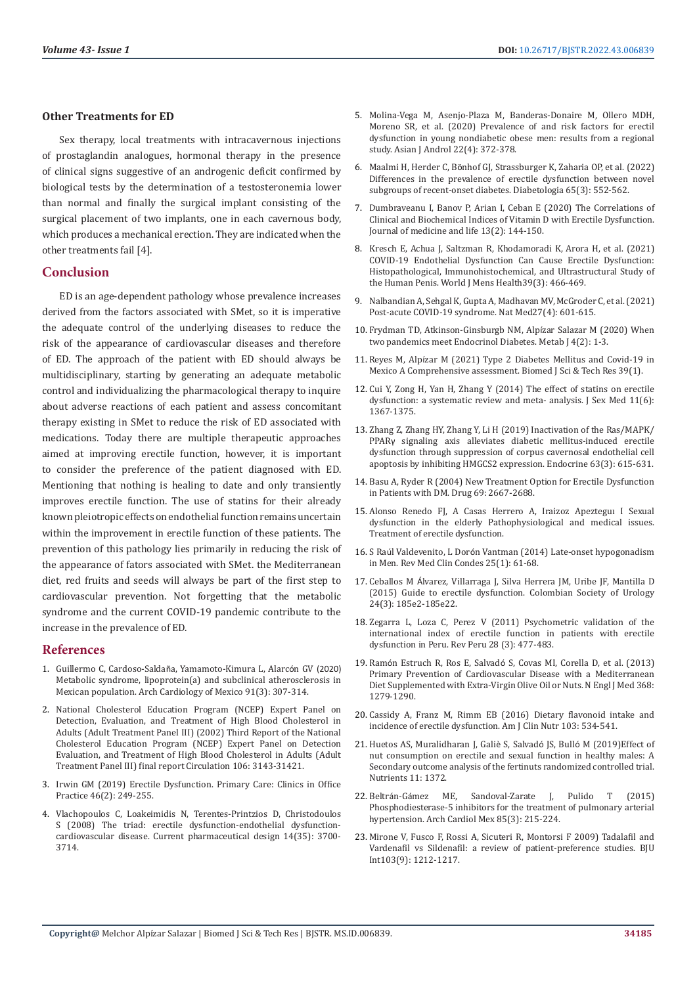# **Other Treatments for ED**

Sex therapy, local treatments with intracavernous injections of prostaglandin analogues, hormonal therapy in the presence of clinical signs suggestive of an androgenic deficit confirmed by biological tests by the determination of a testosteronemia lower than normal and finally the surgical implant consisting of the surgical placement of two implants, one in each cavernous body, which produces a mechanical erection. They are indicated when the other treatments fail [4].

#### **Conclusion**

ED is an age-dependent pathology whose prevalence increases derived from the factors associated with SMet, so it is imperative the adequate control of the underlying diseases to reduce the risk of the appearance of cardiovascular diseases and therefore of ED. The approach of the patient with ED should always be multidisciplinary, starting by generating an adequate metabolic control and individualizing the pharmacological therapy to inquire about adverse reactions of each patient and assess concomitant therapy existing in SMet to reduce the risk of ED associated with medications. Today there are multiple therapeutic approaches aimed at improving erectile function, however, it is important to consider the preference of the patient diagnosed with ED. Mentioning that nothing is healing to date and only transiently improves erectile function. The use of statins for their already known pleiotropic effects on endothelial function remains uncertain within the improvement in erectile function of these patients. The prevention of this pathology lies primarily in reducing the risk of the appearance of fators associated with SMet. the Mediterranean diet, red fruits and seeds will always be part of the first step to cardiovascular prevention. Not forgetting that the metabolic syndrome and the current COVID-19 pandemic contribute to the increase in the prevalence of ED.

#### **References**

- 1. Guillermo C, Cardoso-Saldañ[a, Yamamoto-Kimura L, Alarc](https://www.archivoscardiologia.com/frame_esp.php?id=260)ón GV (2020) [Metabolic syndrome, lipoprotein\(a\) and subclinical atherosclerosis in](https://www.archivoscardiologia.com/frame_esp.php?id=260)  [Mexican population. Arch Cardiology of Mexico 91\(3\): 307-314.](https://www.archivoscardiologia.com/frame_esp.php?id=260)
- 2. [National Cholesterol Education Program \(NCEP\) Expert Panel on](https://pubmed.ncbi.nlm.nih.gov/12485966/)  [Detection, Evaluation, and Treatment of High Blood Cholesterol in](https://pubmed.ncbi.nlm.nih.gov/12485966/)  [Adults \(Adult Treatment Panel III\) \(2002\) Third Report of the National](https://pubmed.ncbi.nlm.nih.gov/12485966/)  [Cholesterol Education Program \(NCEP\) Expert Panel on Detection](https://pubmed.ncbi.nlm.nih.gov/12485966/)  [Evaluation, and Treatment of High Blood Cholesterol in Adults \(Adult](https://pubmed.ncbi.nlm.nih.gov/12485966/)  [Treatment Panel III\) final report Circulation 106: 3143-31421.](https://pubmed.ncbi.nlm.nih.gov/12485966/)
- 3. [Irwin GM \(2019\) Erectile Dysfunction. Primary Care: Clinics in Office](https://www.sciencedirect.com/science/article/abs/pii/S0095454319300090?via%3Dihub)  [Practice 46\(2\): 249-255.](https://www.sciencedirect.com/science/article/abs/pii/S0095454319300090?via%3Dihub)
- 4. [Vlachopoulos C, Loakeimidis N, Terentes-Printzios D, Christodoulos](https://www.ingentaconnect.com/content/ben/cpd/2008/00000014/00000035/art00002)  [S \(2008\) The triad: erectile dysfunction-endothelial dysfunction](https://www.ingentaconnect.com/content/ben/cpd/2008/00000014/00000035/art00002)[cardiovascular disease. Current pharmaceutical design 14\(35\): 3700-](https://www.ingentaconnect.com/content/ben/cpd/2008/00000014/00000035/art00002) [3714.](https://www.ingentaconnect.com/content/ben/cpd/2008/00000014/00000035/art00002)
- 5. [Molina-Vega M, Asenjo-Plaza M, Banderas-Donaire M, Ollero MDH,](https://pubmed.ncbi.nlm.nih.gov/31603141/) [Moreno SR, et al. \(2020\) Prevalence of and risk factors for erectil](https://pubmed.ncbi.nlm.nih.gov/31603141/) [dysfunction in young nondiabetic obese men: results from a regional](https://pubmed.ncbi.nlm.nih.gov/31603141/) [study. Asian J Androl 22\(4\): 372-378.](https://pubmed.ncbi.nlm.nih.gov/31603141/)
- 6. Maalmi H, Herder C, Bö[nhof GJ, Strassburger K, Zaharia OP, et al. \(2022\)](https://pubmed.ncbi.nlm.nih.gov/34800144/) [Differences in the prevalence of erectile dysfunction between novel](https://pubmed.ncbi.nlm.nih.gov/34800144/) [subgroups of recent-onset diabetes. Diabetologia 65\(3\): 552-562.](https://pubmed.ncbi.nlm.nih.gov/34800144/)
- 7. Dumbraveanu I, Banov P, Arian I, Ceban E (2020) The Correlations of Clinical and Biochemical Indices of Vitamin D with Erectile Dysfunction. Journal of medicine and life 13(2): 144-150.
- 8. [Kresch E, Achua J, Saltzman R, Khodamoradi K, Arora H, et al. \(2021\)](https://pubmed.ncbi.nlm.nih.gov/33988001/) [COVID-19 Endothelial Dysfunction Can Cause Erectile Dysfunction:](https://pubmed.ncbi.nlm.nih.gov/33988001/) [Histopathological, Immunohistochemical, and Ultrastructural Study of](https://pubmed.ncbi.nlm.nih.gov/33988001/) [the Human Penis. World J Mens Health39\(3\): 466-469.](https://pubmed.ncbi.nlm.nih.gov/33988001/)
- 9. [Nalbandian A, Sehgal K, Gupta A, Madhavan MV, McGroder C, et al. \(2021\)](https://www.nature.com/articles/s41591-021-01283-z) [Post-acute COVID-19 syndrome. Nat Med27\(4\): 601-615.](https://www.nature.com/articles/s41591-021-01283-z)
- 10. [Frydman TD, Atkinson-Ginsburgb NM, Alp](https://researchopenworld.com/wp-content/uploads/2020/05/EDMJ-4-2-405.pdf)ízar Salazar M (2020) When [two pandemics meet Endocrinol Diabetes. Metab J 4\(2\): 1-3](https://researchopenworld.com/wp-content/uploads/2020/05/EDMJ-4-2-405.pdf).
- 11. Reyes M, Alpí[zar M \(2021\) Type 2 Diabetes Mellitus and Covid-19 in](https://biomedres.us/pdfs/BJSTR.MS.ID.006254.pdf) [Mexico A Comprehensive assessment. Biomed J Sci & Tech Res 39\(1\).](https://biomedres.us/pdfs/BJSTR.MS.ID.006254.pdf)
- 12. [Cui Y, Zong H, Yan H, Zhang Y \(2014\) The effect of statins on erectile](https://pubmed.ncbi.nlm.nih.gov/24628781/) [dysfunction: a systematic review and meta- analysis. J Sex Med 11\(6\):](https://pubmed.ncbi.nlm.nih.gov/24628781/) [1367-1375.](https://pubmed.ncbi.nlm.nih.gov/24628781/)
- 13. [Zhang Z, Zhang HY, Zhang Y, Li H \(2019\) Inactivation of the Ras/MAPK/](https://pubmed.ncbi.nlm.nih.gov/30460485/) PPARγ [signaling axis alleviates diabetic mellitus-induced erectile](https://pubmed.ncbi.nlm.nih.gov/30460485/) [dysfunction through suppression of corpus cavernosal endothelial cell](https://pubmed.ncbi.nlm.nih.gov/30460485/) [apoptosis by inhibiting HMGCS2 expression. Endocrine 63\(3\): 615-631.](https://pubmed.ncbi.nlm.nih.gov/30460485/)
- 14. [Basu A, Ryder R \(2004\) New Treatment Option for Erectile Dysfunction](https://pubmed.ncbi.nlm.nih.gov/15537369/) [in Patients with DM. Drug 69: 2667-2688.](https://pubmed.ncbi.nlm.nih.gov/15537369/)
- 15. Alonso Renedo FJ, A Casas Herrero A, Iraizoz Apezteguı I Sexual dysfunction in the elderly Pathophysiological and medical issues. Treatment of erectile dysfunction.
- 16. S Raúl Valdevenito, L Dorón Vantman (2014) Late-onset hypogonadism in Men. Rev Med Clin Condes 25(1): 61-68.
- 17. Ceballos M Á[lvarez, Villarraga J, Silva Herrera JM, Uribe JF, Mantilla D](https://www.elsevier.es/es-revista-urologia-colombiana-398-articulo-guia-disfuncion-erectil-sociedad-colombiana-S0120789X15000167) [\(2015\) Guide to erectile dysfunction. Colombian Society of Urology](https://www.elsevier.es/es-revista-urologia-colombiana-398-articulo-guia-disfuncion-erectil-sociedad-colombiana-S0120789X15000167) [24\(3\): 185e2-185e22.](https://www.elsevier.es/es-revista-urologia-colombiana-398-articulo-guia-disfuncion-erectil-sociedad-colombiana-S0120789X15000167)
- 18. [Zegarra L, Loza C, Perez V \(2011\) Psychometric validation of the](https://pubmed.ncbi.nlm.nih.gov/22086628/) [international index of erectile function in patients with erectile](https://pubmed.ncbi.nlm.nih.gov/22086628/) [dysfunction in Peru. Rev Peru 28 \(3\): 477-483.](https://pubmed.ncbi.nlm.nih.gov/22086628/)
- 19. Ramón Estruch R, Ros E, Salvadó [S, Covas MI, Corella D, et al. \(2013\)](https://www.nejm.org/doi/full/10.1056/nejmoa1200303) [Primary Prevention of Cardiovascular Disease with a Mediterranean](https://www.nejm.org/doi/full/10.1056/nejmoa1200303) [Diet Supplemented with Extra-Virgin Olive Oil or Nuts. N Engl J Med 368:](https://www.nejm.org/doi/full/10.1056/nejmoa1200303) [1279-1290.](https://www.nejm.org/doi/full/10.1056/nejmoa1200303)
- 20. Cassidy A, Franz M, Rimm EB (2016) Dietary flavonoid intake and incidence of erectile dysfunction. Am J Clin Nutr 103: 534-541.
- 21. [Huetos AS, Muralidharan J, Gali](https://pubmed.ncbi.nlm.nih.gov/31248067/)è S, Salvadó JS, Bulló M (2019)Effect of [nut consumption on erectile and sexual function in healthy males: A](https://pubmed.ncbi.nlm.nih.gov/31248067/) [Secondary outcome analysis of the fertinuts randomized controlled trial.](https://pubmed.ncbi.nlm.nih.gov/31248067/) [Nutrients 11: 1372.](https://pubmed.ncbi.nlm.nih.gov/31248067/)
- 22. Beltrán-Gá[mez ME, Sandoval-Zarate J, Pulido T \(2015\)](http://www.scielo.org.mx/scielo.php?pid=S1405-99402015000300007&script=sci_abstract&tlng=en) [Phosphodiesterase-5 inhibitors for the treatment of pulmonary arterial](http://www.scielo.org.mx/scielo.php?pid=S1405-99402015000300007&script=sci_abstract&tlng=en) [hypertension. Arch Cardiol Mex 85\(3\): 215-224.](http://www.scielo.org.mx/scielo.php?pid=S1405-99402015000300007&script=sci_abstract&tlng=en)
- 23. [Mirone V, Fusco F, Rossi A, Sicuteri R, Montorsi F 2009\) Tadalafil and](https://pubmed.ncbi.nlm.nih.gov/19154480/) [Vardenafil vs Sildenafil: a review of patient-preference studies. BJU](https://pubmed.ncbi.nlm.nih.gov/19154480/) [Int103\(9\): 1212-1217.](https://pubmed.ncbi.nlm.nih.gov/19154480/)